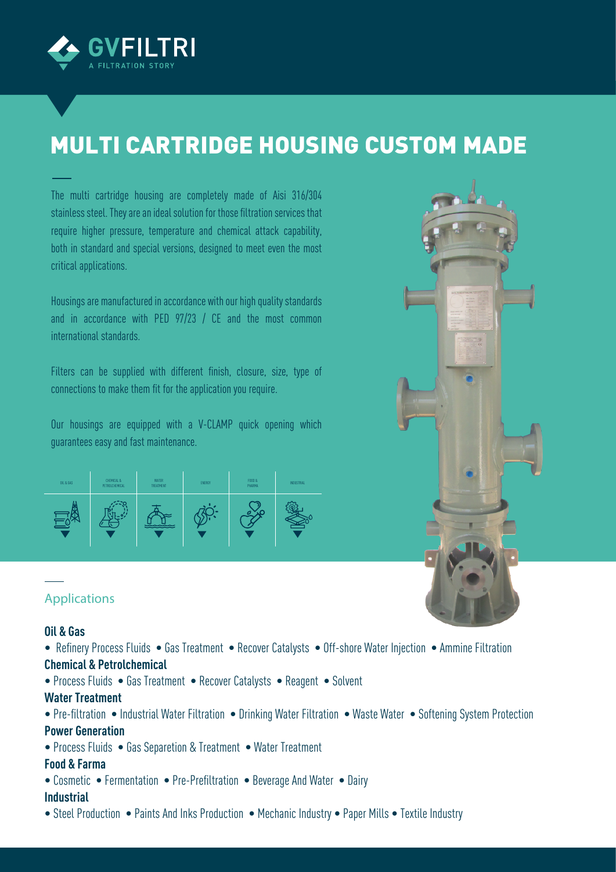

# MULTI CARTRIDGE HOUSING CUSTOM MADE

The multi cartridge housing are completely made of Aisi 316/304 stainless steel. They are an ideal solution for those filtration services that require higher pressure, temperature and chemical attack capability, both in standard and special versions, designed to meet even the most critical applications.

Housings are manufactured in accordance with our high quality standards and in accordance with PED 97/23 / CE and the most common international standards.

Filters can be supplied with different finish, closure, size, type of connections to make them fit for the application you require.

Our housings are equipped with a V-CLAMP quick opening which guarantees easy and fast maintenance.

| OIL & GAS | CHEMICAL &<br>PETROLCHEMICAL | <b>WATER</b><br>TREATMENT | ENERGY | F000 &<br>PHARMA | INDUSTRIAL |
|-----------|------------------------------|---------------------------|--------|------------------|------------|
|           |                              |                           |        |                  |            |

#### **Applications**

#### **Oil & Gas**

- Refinery Process Fluids Gas Treatment Recover Catalysts Off-shore Water Injection Ammine Filtration **Chemical & Petrolchemical**
- Process Fluids Gas Treatment Recover Catalysts Reagent Solvent

#### **Water Treatment**

- Pre-filtration Industrial Water Filtration Drinking Water Filtration Waste Water Softening System Protection **Power Generation**
- Process Fluids Gas Separetion & Treatment Water Treatment

#### **Food & Farma**

• Cosmetic • Fermentation • Pre-Prefiltration • Beverage And Water • Dairy

#### **Industrial**

• Steel Production • Paints And Inks Production • Mechanic Industry • Paper Mills • Textile Industry

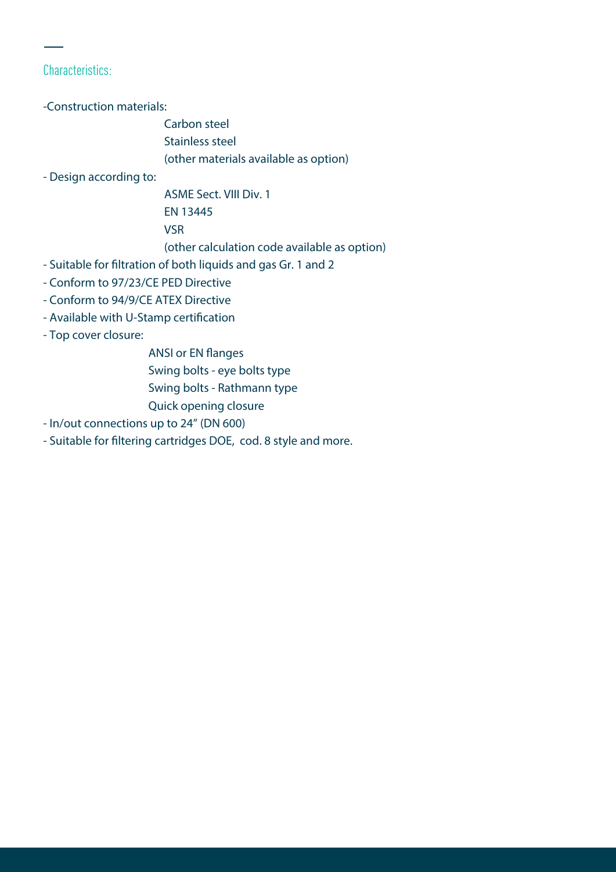### Characteristics:

-Construction materials:

 Carbon steel Stainless steel (other materials available as option)

- Design according to:

 ASME Sect. VIII Div. 1 EN 13445 VSR (other calculation code available as option)

- Suitable for filtration of both liquids and gas Gr. 1 and 2
- Conform to 97/23/CE PED Directive
- Conform to 94/9/CE ATEX Directive
- Available with U-Stamp certification
- Top cover closure:
	- ANSI or EN flanges
	- Swing bolts eye bolts type
	- Swing bolts Rathmann type
	- Quick opening closure
- In/out connections up to 24" (DN 600)
- Suitable for filtering cartridges DOE, cod. 8 style and more.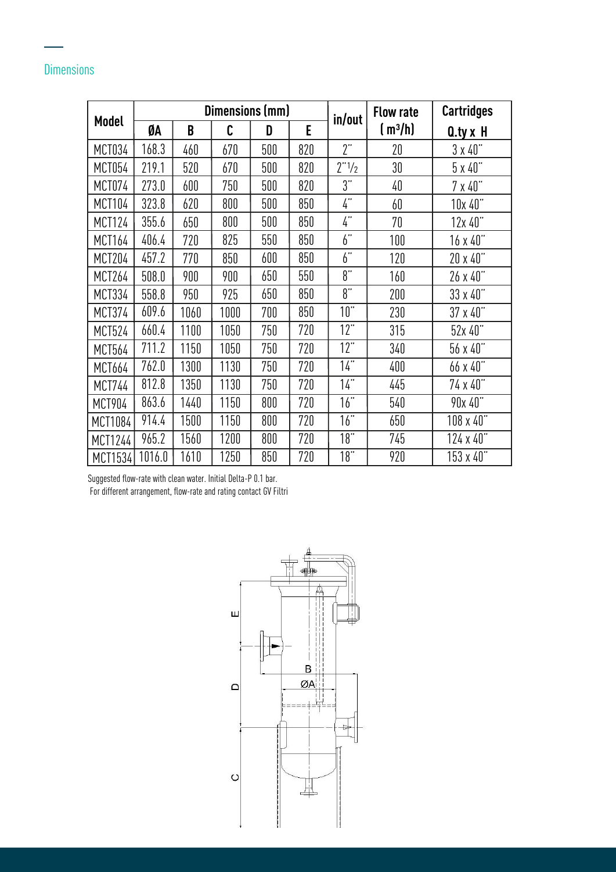# **Dimensions**

| Model         | Dimensions (mm) |      |      |     | in/out | <b>Flow rate</b>  | <b>Cartridges</b> |                         |
|---------------|-----------------|------|------|-----|--------|-------------------|-------------------|-------------------------|
|               | ØA              | B    | C    | D   | E      |                   | $(m^3/h)$         | $Q_{\text{y}} \times H$ |
| <b>MCT034</b> | 168.3           | 460  | 670  | 500 | 820    | 2"                | 20                | $3 \times 40"$          |
| <b>MCT054</b> | 219.1           | 520  | 670  | 500 | 820    | 2"1/2             | 30                | $5 \times 40$ "         |
| <b>MCT074</b> | 273.0           | 600  | 750  | 500 | 820    | 3"                | 40                | $7 \times 40$           |
| <b>MCT104</b> | 323.8           | 620  | 800  | 500 | 850    | $\frac{1}{4}$     | 60                | 10x 40"                 |
| <b>MCT124</b> | 355.6           | 650  | 800  | 500 | 850    | $\frac{1}{4}$     | 70                | 12x40"                  |
| MCT164        | 406.4           | 720  | 825  | 550 | 850    | 6"                | 100               | $16 \times 40$          |
| <b>MCT204</b> | 457.2           | 770  | 850  | 600 | 850    | 6"                | 120               | 20 x 40"                |
| <b>MCT264</b> | 508.0           | 900  | 900  | 650 | 550    | 8"                | 160               | 26 x 40"                |
| <b>MCT334</b> | 558.8           | 950  | 925  | 650 | 850    | 8"                | 200               | 33 x 40"                |
| MCT374        | 609.6           | 1060 | 1000 | 700 | 850    | 10"               | 230               | 37 x 40"                |
| MCT524        | 660.4           | 1100 | 1050 | 750 | 720    | 12"               | 315               | 52x 40"                 |
| MCT564        | 711.2           | 1150 | 1050 | 750 | 720    | 12"               | 340               | 56x40"                  |
| MCT664        | 762.0           | 1300 | 1130 | 750 | 720    | 14"               | 400               | 66 x 40"                |
| <b>MCT744</b> | 812.8           | 1350 | 1130 | 750 | 720    | $\overline{14}$ " | 445               | 74 x 40"                |
| <b>MCT904</b> | 863.6           | 1440 | 1150 | 800 | 720    | $\overline{16}$ " | 540               | 90x 40"                 |
| MCT1084       | 914.4           | 1500 | 1150 | 800 | 720    | $\overline{16}$ " | 650               | 108 x 40"               |
| MCT1244       | 965.2           | 1560 | 1200 | 800 | 720    | $\overline{18}$ " | 745               | 124 x 40"               |
| MCT1534       | 1016.0          | 1610 | 1250 | 850 | 720    | $\overline{18}$ " | 920               | 153 x 40"               |

Suggested flow-rate with clean water. Initial Delta-P 0.1 bar.

For different arrangement, flow-rate and rating contact GV Filtri